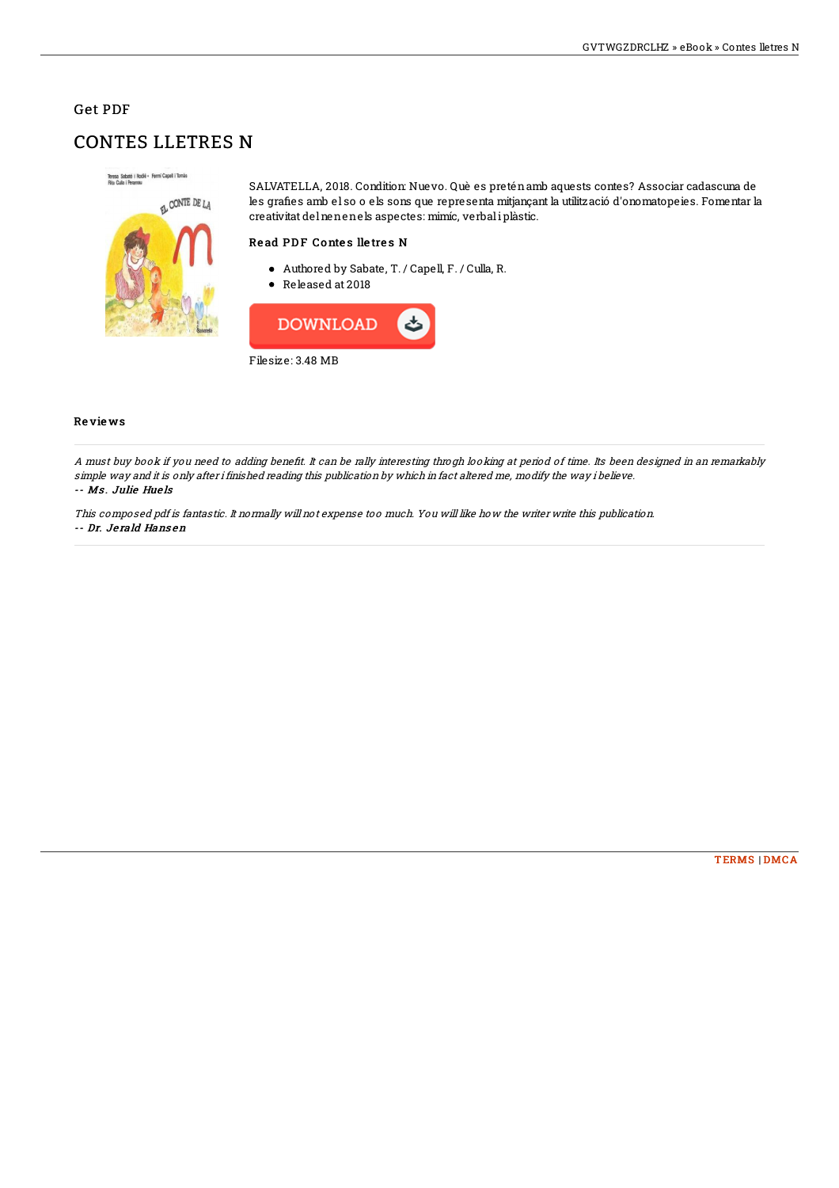## Get PDF

# CONTES LLETRES N



SALVATELLA, 2018. Condition: Nuevo. Què es preténamb aquests contes? Associar cadascuna de les grafies amb el so o els sons que representa mitjançant la utilització d'onomatopeies. Fomentar la creativitat delnenenels aspectes: mimíc, verbali plàstic.

### Read PDF Contes lletres N

- Authored by Sabate, T. / Capell, F. / Culla, R.
- Released at 2018



#### Re vie ws

A must buy book if you need to adding benefit. It can be rally interesting throgh looking at period of time. Its been designed in an remarkably simple way and it is only after i finished reading this publication by which in fact altered me, modify the way i believe. -- Ms . Julie Hue ls

This composed pdf is fantastic. It normally will not expense too much. You will like how the writer write this publication. -- Dr. Je rald Hans en